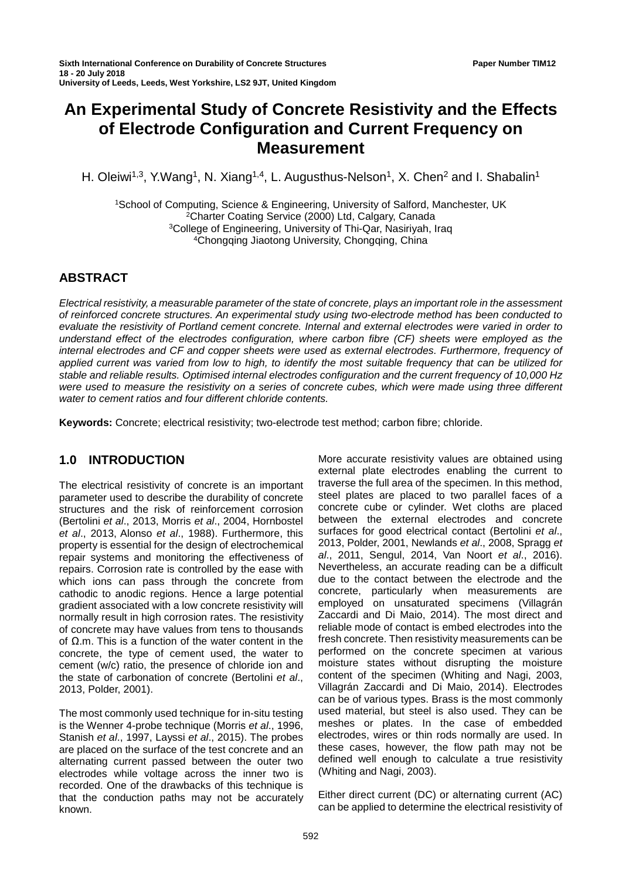# **An Experimental Study of Concrete Resistivity and the Effects of Electrode Configuration and Current Frequency on Measurement**

H. Oleiwi<sup>1,3</sup>, Y.Wang<sup>1</sup>, N. Xiang<sup>1,4</sup>, L. Augusthus-Nelson<sup>1</sup>, X. Chen<sup>2</sup> and I. Shabalin<sup>1</sup>

1School of Computing, Science & Engineering, University of Salford, Manchester, UK 2Charter Coating Service (2000) Ltd, Calgary, Canada 3College of Engineering, University of Thi-Qar, Nasiriyah, Iraq 4Chongqing Jiaotong University, Chongqing, China

# **ABSTRACT**

*Electrical resistivity, a measurable parameter of the state of concrete, plays an important role in the assessment of reinforced concrete structures. An experimental study using two-electrode method has been conducted to evaluate the resistivity of Portland cement concrete. Internal and external electrodes were varied in order to understand effect of the electrodes configuration, where carbon fibre (CF) sheets were employed as the internal electrodes and CF and copper sheets were used as external electrodes. Furthermore, frequency of applied current was varied from low to high, to identify the most suitable frequency that can be utilized for stable and reliable results. Optimised internal electrodes configuration and the current frequency of 10,000 Hz were used to measure the resistivity on a series of concrete cubes, which were made using three different water to cement ratios and four different chloride contents.*

**Keywords:** Concrete; electrical resistivity; two-electrode test method; carbon fibre; chloride.

# **1.0 INTRODUCTION**

The electrical resistivity of concrete is an important parameter used to describe the durability of concrete structures and the risk of reinforcement corrosion (Bertolini *et al*., 2013, Morris *et al*., 2004, Hornbostel *et al*., 2013, Alonso *et al*., 1988). Furthermore, this property is essential for the design of electrochemical repair systems and monitoring the effectiveness of repairs. Corrosion rate is controlled by the ease with which ions can pass through the concrete from cathodic to anodic regions. Hence a large potential gradient associated with a low concrete resistivity will normally result in high corrosion rates. The resistivity of concrete may have values from tens to thousands of Ω.m. This is a function of the water content in the concrete, the type of cement used, the water to cement (w/c) ratio, the presence of chloride ion and the state of carbonation of concrete (Bertolini *et al*., 2013, Polder, 2001).

The most commonly used technique for in-situ testing is the Wenner 4-probe technique (Morris *et al*., 1996, Stanish *et al*., 1997, Layssi *et al*., 2015). The probes are placed on the surface of the test concrete and an alternating current passed between the outer two electrodes while voltage across the inner two is recorded. One of the drawbacks of this technique is that the conduction paths may not be accurately known.

More accurate resistivity values are obtained using external plate electrodes enabling the current to traverse the full area of the specimen. In this method, steel plates are placed to two parallel faces of a concrete cube or cylinder. Wet cloths are placed between the external electrodes and concrete surfaces for good electrical contact (Bertolini *et al*., 2013, Polder, 2001, Newlands *et al*., 2008, Spragg *et al*., 2011, Sengul, 2014, Van Noort *et al*., 2016). Nevertheless, an accurate reading can be a difficult due to the contact between the electrode and the concrete, particularly when measurements are employed on unsaturated specimens (Villagrán Zaccardi and Di Maio, 2014). The most direct and reliable mode of contact is embed electrodes into the fresh concrete. Then resistivity measurements can be performed on the concrete specimen at various moisture states without disrupting the moisture content of the specimen (Whiting and Nagi, 2003, Villagrán Zaccardi and Di Maio, 2014). Electrodes can be of various types. Brass is the most commonly used material, but steel is also used. They can be meshes or plates. In the case of embedded electrodes, wires or thin rods normally are used. In these cases, however, the flow path may not be defined well enough to calculate a true resistivity (Whiting and Nagi, 2003).

Either direct current (DC) or alternating current (AC) can be applied to determine the electrical resistivity of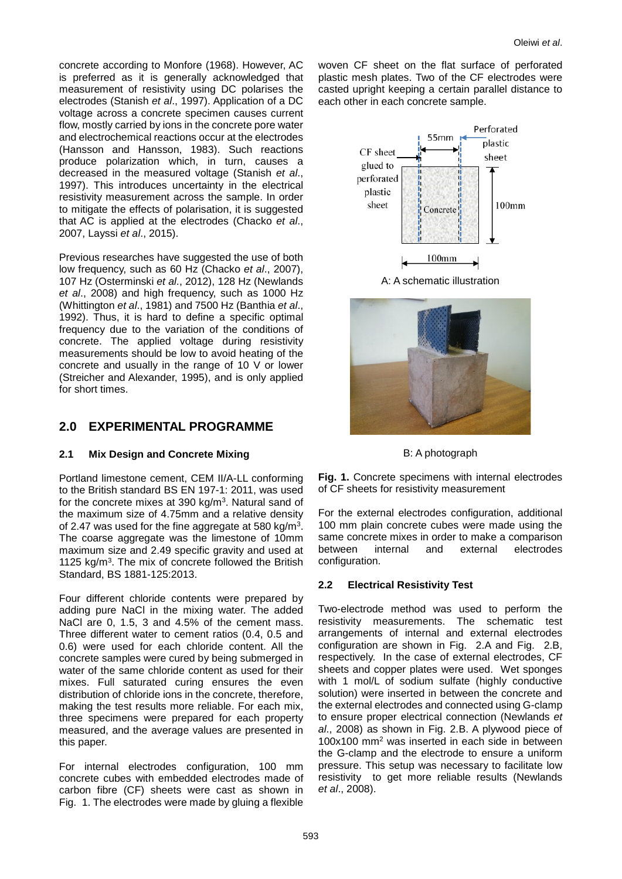concrete according to Monfore (1968). However, AC is preferred as it is generally acknowledged that measurement of resistivity using DC polarises the electrodes (Stanish *et al*., 1997). Application of a DC voltage across a concrete specimen causes current flow, mostly carried by ions in the concrete pore water and electrochemical reactions occur at the electrodes (Hansson and Hansson, 1983). Such reactions produce polarization which, in turn, causes a decreased in the measured voltage (Stanish *et al*., 1997). This introduces uncertainty in the electrical resistivity measurement across the sample. In order to mitigate the effects of polarisation, it is suggested that AC is applied at the electrodes (Chacko *et al*., 2007, Layssi *et al*., 2015).

Previous researches have suggested the use of both low frequency, such as 60 Hz (Chacko *et al*., 2007), 107 Hz (Osterminski *et al*., 2012), 128 Hz (Newlands *et al*., 2008) and high frequency, such as 1000 Hz (Whittington *et al*., 1981) and 7500 Hz (Banthia *et al*., 1992). Thus, it is hard to define a specific optimal frequency due to the variation of the conditions of concrete. The applied voltage during resistivity measurements should be low to avoid heating of the concrete and usually in the range of 10 V or lower (Streicher and Alexander, 1995), and is only applied for short times.

# **2.0 EXPERIMENTAL PROGRAMME**

### **2.1 Mix Design and Concrete Mixing**

Portland limestone cement, CEM II/A-LL conforming to the British standard BS EN 197-1: 2011, was used for the concrete mixes at 390 kg/m3. Natural sand of the maximum size of 4.75mm and a relative density of 2.47 was used for the fine aggregate at 580 kg/m3. The coarse aggregate was the limestone of 10mm maximum size and 2.49 specific gravity and used at 1125  $kg/m<sup>3</sup>$ . The mix of concrete followed the British Standard, BS 1881-125:2013.

Four different chloride contents were prepared by adding pure NaCl in the mixing water. The added NaCl are 0, 1.5, 3 and 4.5% of the cement mass. Three different water to cement ratios (0.4, 0.5 and 0.6) were used for each chloride content. All the concrete samples were cured by being submerged in water of the same chloride content as used for their mixes. Full saturated curing ensures the even distribution of chloride ions in the concrete, therefore, making the test results more reliable. For each mix, three specimens were prepared for each property measured, and the average values are presented in this paper.

For internal electrodes configuration, 100 mm concrete cubes with embedded electrodes made of carbon fibre (CF) sheets were cast as shown in Fig. 1. The electrodes were made by gluing a flexible woven CF sheet on the flat surface of perforated plastic mesh plates. Two of the CF electrodes were casted upright keeping a certain parallel distance to each other in each concrete sample.



A: A schematic illustration



B: A photograph

**Fig. 1.** Concrete specimens with internal electrodes of CF sheets for resistivity measurement

For the external electrodes configuration, additional 100 mm plain concrete cubes were made using the same concrete mixes in order to make a comparison between internal and external electrodes configuration.

# **2.2 Electrical Resistivity Test**

Two-electrode method was used to perform the resistivity measurements. The schematic test arrangements of internal and external electrodes configuration are shown in Fig. 2.A and Fig. 2.B, respectively. In the case of external electrodes, CF sheets and copper plates were used. Wet sponges with 1 mol/L of sodium sulfate (highly conductive solution) were inserted in between the concrete and the external electrodes and connected using G-clamp to ensure proper electrical connection (Newlands *et al*., 2008) as shown in Fig. 2.B. A plywood piece of 100x100 mm2 was inserted in each side in between the G-clamp and the electrode to ensure a uniform pressure. This setup was necessary to facilitate low resistivity to get more reliable results (Newlands *et al*., 2008).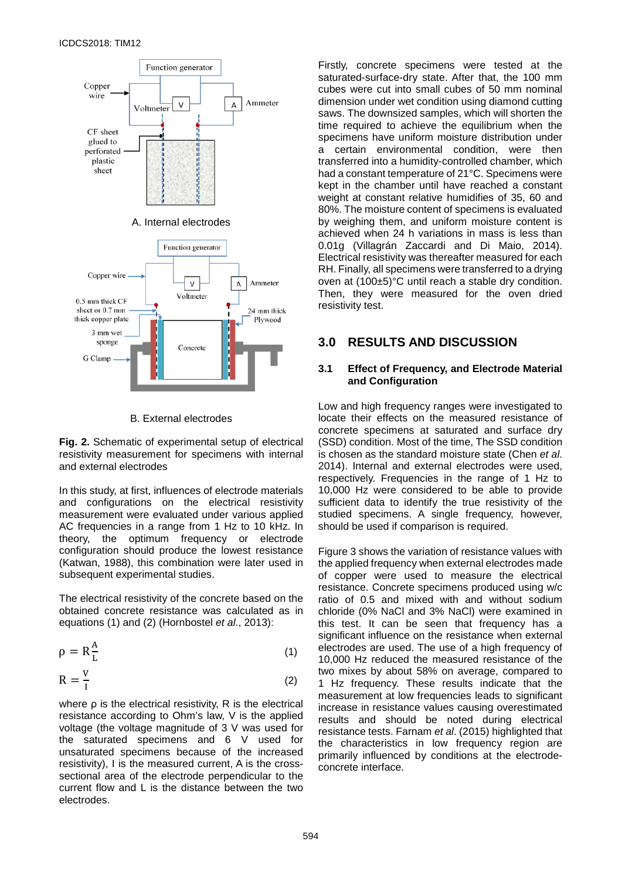

#### B. External electrodes

**Fig. 2.** Schematic of experimental setup of electrical resistivity measurement for specimens with internal and external electrodes

In this study, at first, influences of electrode materials and configurations on the electrical resistivity measurement were evaluated under various applied AC frequencies in a range from 1 Hz to 10 kHz. In theory, the optimum frequency or electrode configuration should produce the lowest resistance (Katwan, 1988), this combination were later used in subsequent experimental studies.

The electrical resistivity of the concrete based on the obtained concrete resistance was calculated as in equations (1) and (2) (Hornbostel *et al*., 2013):

$$
\rho = R \frac{A}{L} \tag{1}
$$

$$
R = \frac{V}{I}
$$
 (2)

where ρ is the electrical resistivity, R is the electrical resistance according to Ohm's law, V is the applied voltage (the voltage magnitude of 3 V was used for the saturated specimens and 6 V used for unsaturated specimens because of the increased resistivity), I is the measured current, A is the crosssectional area of the electrode perpendicular to the current flow and L is the distance between the two electrodes.

Firstly, concrete specimens were tested at the saturated-surface-dry state. After that, the 100 mm cubes were cut into small cubes of 50 mm nominal dimension under wet condition using diamond cutting saws. The downsized samples, which will shorten the time required to achieve the equilibrium when the specimens have uniform moisture distribution under a certain environmental condition, were then transferred into a humidity-controlled chamber, which had a constant temperature of 21°C. Specimens were kept in the chamber until have reached a constant weight at constant relative humidifies of 35, 60 and 80%. The moisture content of specimens is evaluated by weighing them, and uniform moisture content is achieved when 24 h variations in mass is less than 0.01g (Villagrán Zaccardi and Di Maio, 2014). Electrical resistivity was thereafter measured for each RH. Finally, all specimens were transferred to a drying oven at (100±5)°C until reach a stable dry condition. Then, they were measured for the oven dried resistivity test.

## **3.0 RESULTS AND DISCUSSION**

#### **3.1 Effect of Frequency, and Electrode Material and Configuration**

Low and high frequency ranges were investigated to locate their effects on the measured resistance of concrete specimens at saturated and surface dry (SSD) condition. Most of the time, The SSD condition is chosen as the standard moisture state (Chen *et al*. 2014). Internal and external electrodes were used, respectively. Frequencies in the range of 1 Hz to 10,000 Hz were considered to be able to provide sufficient data to identify the true resistivity of the studied specimens. A single frequency, however, should be used if comparison is required.

Figure 3 shows the variation of resistance values with the applied frequency when external electrodes made of copper were used to measure the electrical resistance. Concrete specimens produced using w/c ratio of 0.5 and mixed with and without sodium chloride (0% NaCl and 3% NaCl) were examined in this test. It can be seen that frequency has a significant influence on the resistance when external electrodes are used. The use of a high frequency of 10,000 Hz reduced the measured resistance of the two mixes by about 58% on average, compared to 1 Hz frequency. These results indicate that the measurement at low frequencies leads to significant increase in resistance values causing overestimated results and should be noted during electrical resistance tests. Farnam *et al*. (2015) highlighted that the characteristics in low frequency region are primarily influenced by conditions at the electrodeconcrete interface.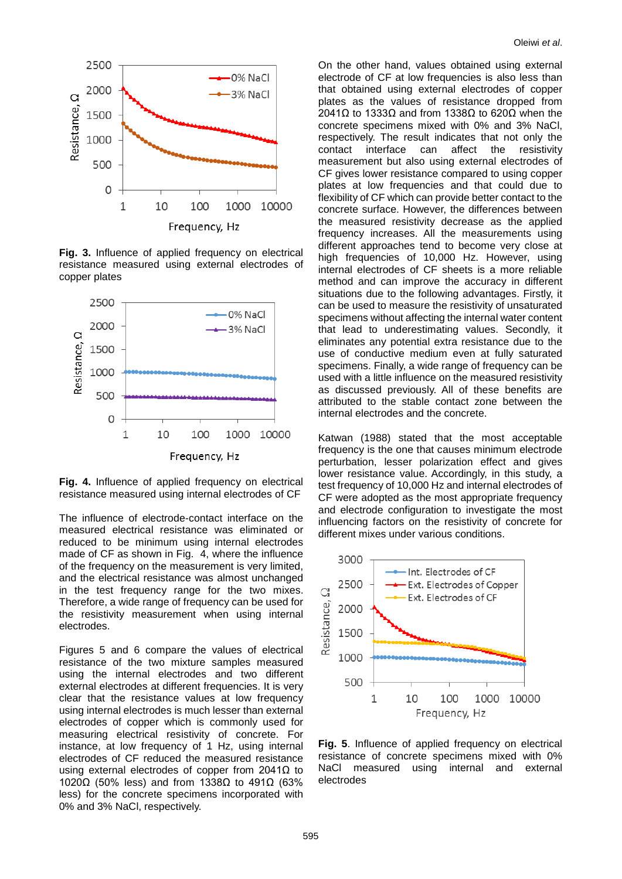

**Fig. 3.** Influence of applied frequency on electrical resistance measured using external electrodes of copper plates





The influence of electrode-contact interface on the measured electrical resistance was eliminated or reduced to be minimum using internal electrodes made of CF as shown in Fig. 4, where the influence of the frequency on the measurement is very limited, and the electrical resistance was almost unchanged in the test frequency range for the two mixes. Therefore, a wide range of frequency can be used for the resistivity measurement when using internal electrodes.

Figures 5 and 6 compare the values of electrical resistance of the two mixture samples measured using the internal electrodes and two different external electrodes at different frequencies. It is very clear that the resistance values at low frequency using internal electrodes is much lesser than external electrodes of copper which is commonly used for measuring electrical resistivity of concrete. For instance, at low frequency of 1 Hz, using internal electrodes of CF reduced the measured resistance using external electrodes of copper from 2041Ω to 1020Ω (50% less) and from 1338Ω to 491Ω (63% less) for the concrete specimens incorporated with 0% and 3% NaCl, respectively.

On the other hand, values obtained using external electrode of CF at low frequencies is also less than that obtained using external electrodes of copper plates as the values of resistance dropped from 2041Ω to 1333Ω and from 1338Ω to 620Ω when the concrete specimens mixed with 0% and 3% NaCl, respectively. The result indicates that not only the contact interface can affect the resistivity contact interface can affect the resistivity measurement but also using external electrodes of CF gives lower resistance compared to using copper plates at low frequencies and that could due to flexibility of CF which can provide better contact to the concrete surface. However, the differences between the measured resistivity decrease as the applied frequency increases. All the measurements using different approaches tend to become very close at high frequencies of 10,000 Hz. However, using internal electrodes of CF sheets is a more reliable method and can improve the accuracy in different situations due to the following advantages. Firstly, it can be used to measure the resistivity of unsaturated specimens without affecting the internal water content that lead to underestimating values. Secondly, it eliminates any potential extra resistance due to the use of conductive medium even at fully saturated specimens. Finally, a wide range of frequency can be used with a little influence on the measured resistivity as discussed previously. All of these benefits are attributed to the stable contact zone between the internal electrodes and the concrete.

Katwan (1988) stated that the most acceptable frequency is the one that causes minimum electrode perturbation, lesser polarization effect and gives lower resistance value. Accordingly, in this study, a test frequency of 10,000 Hz and internal electrodes of CF were adopted as the most appropriate frequency and electrode configuration to investigate the most influencing factors on the resistivity of concrete for different mixes under various conditions.



**Fig. 5**. Influence of applied frequency on electrical resistance of concrete specimens mixed with 0% NaCl measured using internal and external electrodes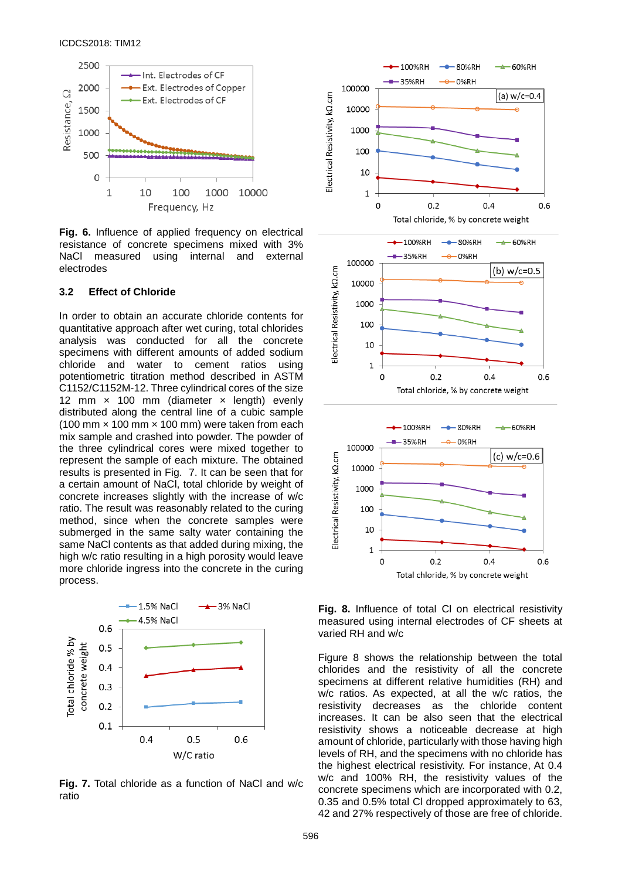

**Fig. 6.** Influence of applied frequency on electrical resistance of concrete specimens mixed with 3% NaCl measured using internal and external electrodes

#### **3.2 Effect of Chloride**

In order to obtain an accurate chloride contents for quantitative approach after wet curing, total chlorides analysis was conducted for all the concrete specimens with different amounts of added sodium<br>chloride and water to cement ratios using chloride and water to potentiometric titration method described in ASTM C1152/C1152M-12. Three cylindrical cores of the size 12 mm  $\times$  100 mm (diameter  $\times$  length) evenly distributed along the central line of a cubic sample (100 mm  $\times$  100 mm  $\times$  100 mm) were taken from each mix sample and crashed into powder. The powder of the three cylindrical cores were mixed together to represent the sample of each mixture. The obtained results is presented in Fig. 7. It can be seen that for a certain amount of NaCl, total chloride by weight of concrete increases slightly with the increase of w/c ratio. The result was reasonably related to the curing method, since when the concrete samples were submerged in the same salty water containing the same NaCl contents as that added during mixing, the high w/c ratio resulting in a high porosity would leave more chloride ingress into the concrete in the curing process.



**Fig. 7.** Total chloride as a function of NaCl and w/c ratio



**Fig. 8.** Influence of total Cl on electrical resistivity measured using internal electrodes of CF sheets at varied RH and w/c

Figure 8 shows the relationship between the total chlorides and the resistivity of all the concrete specimens at different relative humidities (RH) and w/c ratios. As expected, at all the w/c ratios, the resistivity decreases as the chloride content increases. It can be also seen that the electrical resistivity shows a noticeable decrease at high amount of chloride, particularly with those having high levels of RH, and the specimens with no chloride has the highest electrical resistivity. For instance, At 0.4 w/c and 100% RH, the resistivity values of the concrete specimens which are incorporated with 0.2, 0.35 and 0.5% total Cl dropped approximately to 63, 42 and 27% respectively of those are free of chloride.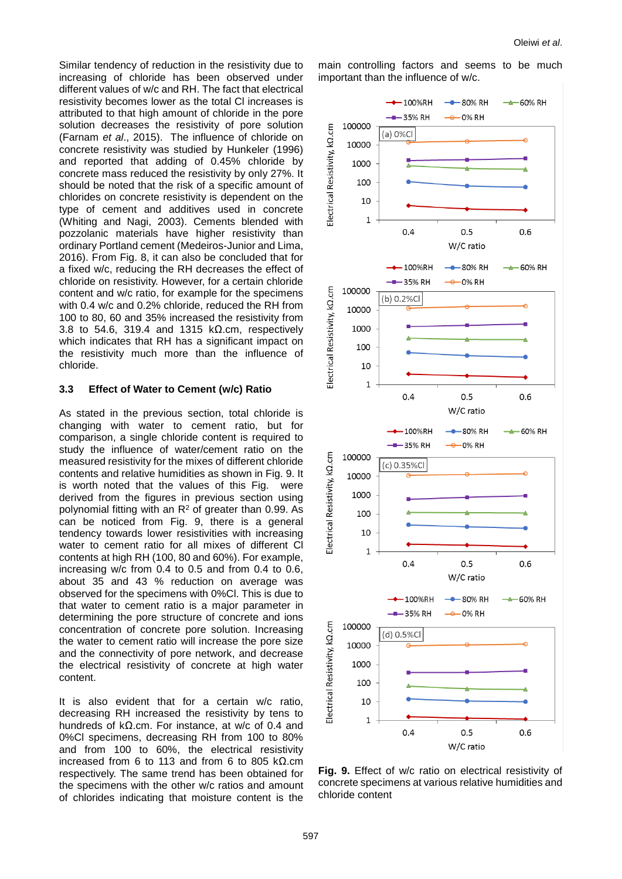Oleiwi *et al*.

Similar tendency of reduction in the resistivity due to increasing of chloride has been observed under different values of w/c and RH. The fact that electrical resistivity becomes lower as the total Cl increases is attributed to that high amount of chloride in the pore solution decreases the resistivity of pore solution (Farnam *et al*., 2015). The influence of chloride on concrete resistivity was studied by Hunkeler (1996) and reported that adding of 0.45% chloride by concrete mass reduced the resistivity by only 27%. It should be noted that the risk of a specific amount of chlorides on concrete resistivity is dependent on the type of cement and additives used in concrete (Whiting and Nagi, 2003). Cements blended with pozzolanic materials have higher resistivity than ordinary Portland cement (Medeiros-Junior and Lima, 2016). From Fig. 8, it can also be concluded that for a fixed w/c, reducing the RH decreases the effect of chloride on resistivity. However, for a certain chloride content and w/c ratio, for example for the specimens with 0.4 w/c and 0.2% chloride, reduced the RH from 100 to 80, 60 and 35% increased the resistivity from 3.8 to 54.6, 319.4 and 1315 kΩ.cm, respectively which indicates that RH has a significant impact on the resistivity much more than the influence of chloride.

### **3.3 Effect of Water to Cement (w/c) Ratio**

As stated in the previous section, total chloride is changing with water to cement ratio, but for comparison, a single chloride content is required to study the influence of water/cement ratio on the measured resistivity for the mixes of different chloride contents and relative humidities as shown in Fig. 9. It is worth noted that the values of this Fig. were derived from the figures in previous section using polynomial fitting with an  $R<sup>2</sup>$  of greater than 0.99. As can be noticed from Fig. 9, there is a general tendency towards lower resistivities with increasing water to cement ratio for all mixes of different Cl contents at high RH (100, 80 and 60%). For example, increasing w/c from 0.4 to 0.5 and from 0.4 to 0.6, about 35 and 43 % reduction on average was observed for the specimens with 0%Cl. This is due to that water to cement ratio is a major parameter in determining the pore structure of concrete and ions concentration of concrete pore solution. Increasing the water to cement ratio will increase the pore size and the connectivity of pore network, and decrease the electrical resistivity of concrete at high water content.

It is also evident that for a certain w/c ratio, decreasing RH increased the resistivity by tens to hundreds of kΩ.cm. For instance, at w/c of 0.4 and 0%Cl specimens, decreasing RH from 100 to 80% and from 100 to 60%, the electrical resistivity increased from 6 to 113 and from 6 to 805 kΩ.cm respectively. The same trend has been obtained for the specimens with the other w/c ratios and amount of chlorides indicating that moisture content is the main controlling factors and seems to be much important than the influence of w/c.



**Fig. 9.** Effect of w/c ratio on electrical resistivity of concrete specimens at various relative humidities and chloride content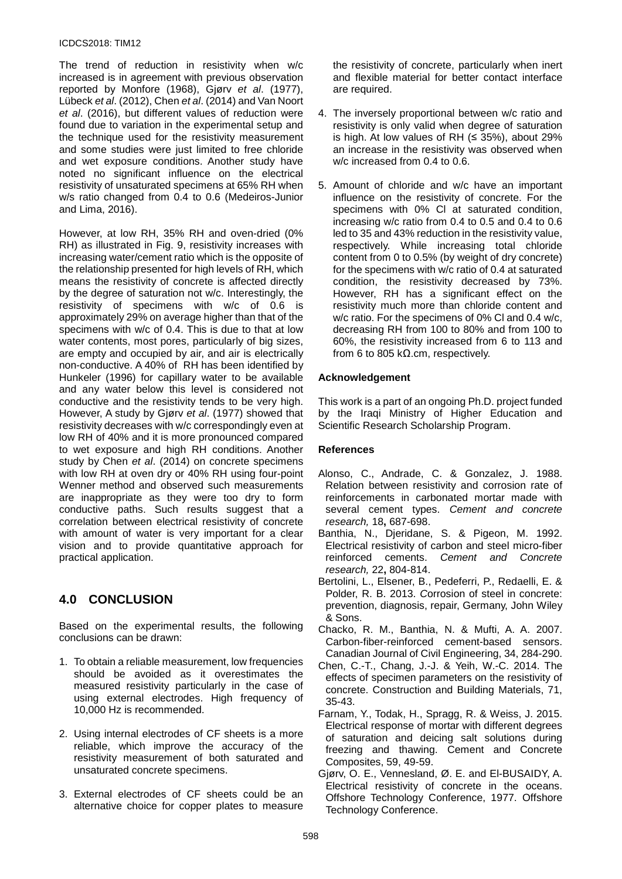#### ICDCS2018: TIM12

The trend of reduction in resistivity when w/c increased is in agreement with previous observation reported by Monfore (1968), Gjørv *et al*. (1977), Lübeck *et al*. (2012), Chen *et al*. (2014) and Van Noort *et al*. (2016), but different values of reduction were found due to variation in the experimental setup and the technique used for the resistivity measurement and some studies were just limited to free chloride and wet exposure conditions. Another study have noted no significant influence on the electrical resistivity of unsaturated specimens at 65% RH when w/s ratio changed from 0.4 to 0.6 (Medeiros-Junior and Lima, 2016).

However, at low RH, 35% RH and oven-dried (0% RH) as illustrated in Fig. 9, resistivity increases with increasing water/cement ratio which is the opposite of the relationship presented for high levels of RH, which means the resistivity of concrete is affected directly by the degree of saturation not w/c. Interestingly, the resistivity of specimens with w/c of 0.6 is approximately 29% on average higher than that of the specimens with w/c of 0.4. This is due to that at low water contents, most pores, particularly of big sizes, are empty and occupied by air, and air is electrically non-conductive. A 40% of RH has been identified by Hunkeler (1996) for capillary water to be available and any water below this level is considered not conductive and the resistivity tends to be very high. However, A study by Gjørv *et al*. (1977) showed that resistivity decreases with w/c correspondingly even at low RH of 40% and it is more pronounced compared to wet exposure and high RH conditions. Another study by Chen *et al*. (2014) on concrete specimens with low RH at oven dry or 40% RH using four-point Wenner method and observed such measurements are inappropriate as they were too dry to form conductive paths. Such results suggest that a correlation between electrical resistivity of concrete with amount of water is very important for a clear vision and to provide quantitative approach for practical application.

# **4.0 CONCLUSION**

Based on the experimental results, the following conclusions can be drawn:

- 1. To obtain a reliable measurement, low frequencies should be avoided as it overestimates the measured resistivity particularly in the case of using external electrodes. High frequency of 10,000 Hz is recommended.
- 2. Using internal electrodes of CF sheets is a more reliable, which improve the accuracy of the resistivity measurement of both saturated and unsaturated concrete specimens.
- 3. External electrodes of CF sheets could be an alternative choice for copper plates to measure

the resistivity of concrete, particularly when inert and flexible material for better contact interface are required.

- 4. The inversely proportional between w/c ratio and resistivity is only valid when degree of saturation is high. At low values of RH  $(≤ 35%)$ , about 29% an increase in the resistivity was observed when w/c increased from 0.4 to 0.6.
- 5. Amount of chloride and w/c have an important influence on the resistivity of concrete. For the specimens with 0% Cl at saturated condition, increasing w/c ratio from 0.4 to 0.5 and 0.4 to 0.6 led to 35 and 43% reduction in the resistivity value, respectively. While increasing total chloride content from 0 to 0.5% (by weight of dry concrete) for the specimens with w/c ratio of 0.4 at saturated condition, the resistivity decreased by 73%. However, RH has a significant effect on the resistivity much more than chloride content and w/c ratio. For the specimens of 0% Cl and 0.4 w/c, decreasing RH from 100 to 80% and from 100 to 60%, the resistivity increased from 6 to 113 and from 6 to 805 k $\Omega$ .cm, respectively.

### **Acknowledgement**

This work is a part of an ongoing Ph.D. project funded by the Iraqi Ministry of Higher Education and Scientific Research Scholarship Program.

### **References**

- Alonso, C., Andrade, C. & Gonzalez, J. 1988. Relation between resistivity and corrosion rate of reinforcements in carbonated mortar made with several cement types. *Cement and concrete research,* 18**,** 687-698.
- Banthia, N., Djeridane, S. & Pigeon, M. 1992. Electrical resistivity of carbon and steel micro-fiber reinforced cements. *Cement and Concrete research,* 22**,** 804-814.
- Bertolini, L., Elsener, B., Pedeferri, P., Redaelli, E. & Polder, R. B. 2013. *C*orrosion of steel in concrete: prevention, diagnosis, repair, Germany, John Wiley & Sons.
- Chacko, R. M., Banthia, N. & Mufti, A. A. 2007. Carbon-fiber-reinforced cement-based sensors. Canadian Journal of Civil Engineering, 34, 284-290.
- Chen, C.-T., Chang, J.-J. & Yeih, W.-C. 2014. The effects of specimen parameters on the resistivity of concrete. Construction and Building Materials, 71, 35-43.
- Farnam, Y., Todak, H., Spragg, R. & Weiss, J. 2015. Electrical response of mortar with different degrees of saturation and deicing salt solutions during freezing and thawing. Cement and Concrete Composites, 59, 49-59.
- Gjørv, O. E., Vennesland, Ø. E. and El-BUSAIDY, A. Electrical resistivity of concrete in the oceans. Offshore Technology Conference, 1977. Offshore Technology Conference.